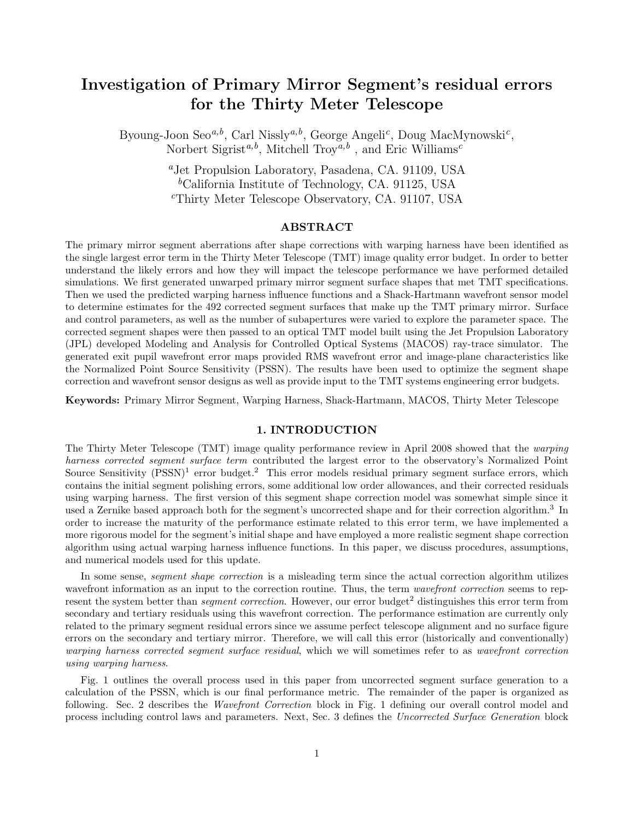# Investigation of Primary Mirror Segment's residual errors for the Thirty Meter Telescope

Byoung-Joon Seo<sup>a,b</sup>, Carl Nissly<sup>a,b</sup>, George Angeli<sup>c</sup>, Doug MacMynowski<sup>c</sup>, Norbert Sigrist<sup>a,b</sup>, Mitchell Troy<sup>a,b</sup>, and Eric Williams<sup>c</sup>

> <sup>a</sup>Jet Propulsion Laboratory, Pasadena, CA. 91109, USA <sup>b</sup>California Institute of Technology, CA. 91125, USA <sup>c</sup>Thirty Meter Telescope Observatory, CA. 91107, USA

## ABSTRACT

The primary mirror segment aberrations after shape corrections with warping harness have been identified as the single largest error term in the Thirty Meter Telescope (TMT) image quality error budget. In order to better understand the likely errors and how they will impact the telescope performance we have performed detailed simulations. We first generated unwarped primary mirror segment surface shapes that met TMT specifications. Then we used the predicted warping harness influence functions and a Shack-Hartmann wavefront sensor model to determine estimates for the 492 corrected segment surfaces that make up the TMT primary mirror. Surface and control parameters, as well as the number of subapertures were varied to explore the parameter space. The corrected segment shapes were then passed to an optical TMT model built using the Jet Propulsion Laboratory (JPL) developed Modeling and Analysis for Controlled Optical Systems (MACOS) ray-trace simulator. The generated exit pupil wavefront error maps provided RMS wavefront error and image-plane characteristics like the Normalized Point Source Sensitivity (PSSN). The results have been used to optimize the segment shape correction and wavefront sensor designs as well as provide input to the TMT systems engineering error budgets.

Keywords: Primary Mirror Segment, Warping Harness, Shack-Hartmann, MACOS, Thirty Meter Telescope

## 1. INTRODUCTION

The Thirty Meter Telescope (TMT) image quality performance review in April 2008 showed that the warping harness corrected segment surface term contributed the largest error to the observatory's Normalized Point Source Sensitivity  $(PSSN)^1$  error budget.<sup>2</sup> This error models residual primary segment surface errors, which contains the initial segment polishing errors, some additional low order allowances, and their corrected residuals using warping harness. The first version of this segment shape correction model was somewhat simple since it used a Zernike based approach both for the segment's uncorrected shape and for their correction algorithm.<sup>3</sup> In order to increase the maturity of the performance estimate related to this error term, we have implemented a more rigorous model for the segment's initial shape and have employed a more realistic segment shape correction algorithm using actual warping harness influence functions. In this paper, we discuss procedures, assumptions, and numerical models used for this update.

In some sense, *segment shape correction* is a misleading term since the actual correction algorithm utilizes wavefront information as an input to the correction routine. Thus, the term *wavefront correction* seems to represent the system better than *segment correction*. However, our error budget<sup>2</sup> distinguishes this error term from secondary and tertiary residuals using this wavefront correction. The performance estimation are currently only related to the primary segment residual errors since we assume perfect telescope alignment and no surface figure errors on the secondary and tertiary mirror. Therefore, we will call this error (historically and conventionally) warping harness corrected segment surface residual, which we will sometimes refer to as wavefront correction using warping harness.

Fig. 1 outlines the overall process used in this paper from uncorrected segment surface generation to a calculation of the PSSN, which is our final performance metric. The remainder of the paper is organized as following. Sec. 2 describes the *Wavefront Correction* block in Fig. 1 defining our overall control model and process including control laws and parameters. Next, Sec. 3 defines the Uncorrected Surface Generation block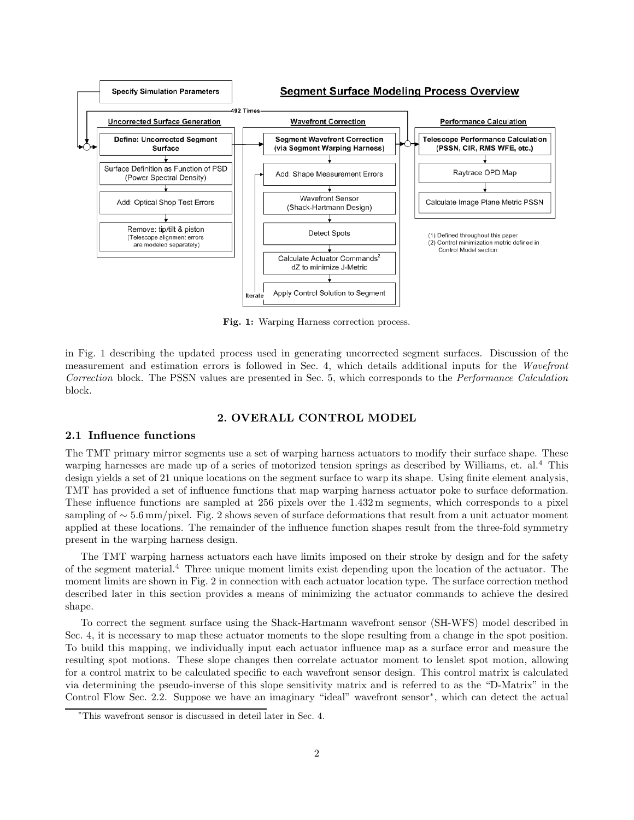

Fig. 1: Warping Harness correction process.

in Fig. 1 describing the updated process used in generating uncorrected segment surfaces. Discussion of the measurement and estimation errors is followed in Sec. 4, which details additional inputs for the Wavefront Correction block. The PSSN values are presented in Sec. 5, which corresponds to the Performance Calculation block.

# 2. OVERALL CONTROL MODEL

#### 2.1 Influence functions

The TMT primary mirror segments use a set of warping harness actuators to modify their surface shape. These warping harnesses are made up of a series of motorized tension springs as described by Williams, et. al.<sup>4</sup> This design yields a set of 21 unique locations on the segment surface to warp its shape. Using finite element analysis, TMT has provided a set of influence functions that map warping harness actuator poke to surface deformation. These influence functions are sampled at 256 pixels over the 1.432 m segments, which corresponds to a pixel sampling of ∼ 5.6 mm/pixel. Fig. 2 shows seven of surface deformations that result from a unit actuator moment applied at these locations. The remainder of the influence function shapes result from the three-fold symmetry present in the warping harness design.

The TMT warping harness actuators each have limits imposed on their stroke by design and for the safety of the segment material.<sup>4</sup> Three unique moment limits exist depending upon the location of the actuator. The moment limits are shown in Fig. 2 in connection with each actuator location type. The surface correction method described later in this section provides a means of minimizing the actuator commands to achieve the desired shape.

To correct the segment surface using the Shack-Hartmann wavefront sensor (SH-WFS) model described in Sec. 4, it is necessary to map these actuator moments to the slope resulting from a change in the spot position. To build this mapping, we individually input each actuator influence map as a surface error and measure the resulting spot motions. These slope changes then correlate actuator moment to lenslet spot motion, allowing for a control matrix to be calculated specific to each wavefront sensor design. This control matrix is calculated via determining the pseudo-inverse of this slope sensitivity matrix and is referred to as the "D-Matrix" in the Control Flow Sec. 2.2. Suppose we have an imaginary "ideal" wavefront sensor<sup>∗</sup> , which can detect the actual

<sup>∗</sup>This wavefront sensor is discussed in deteil later in Sec. 4.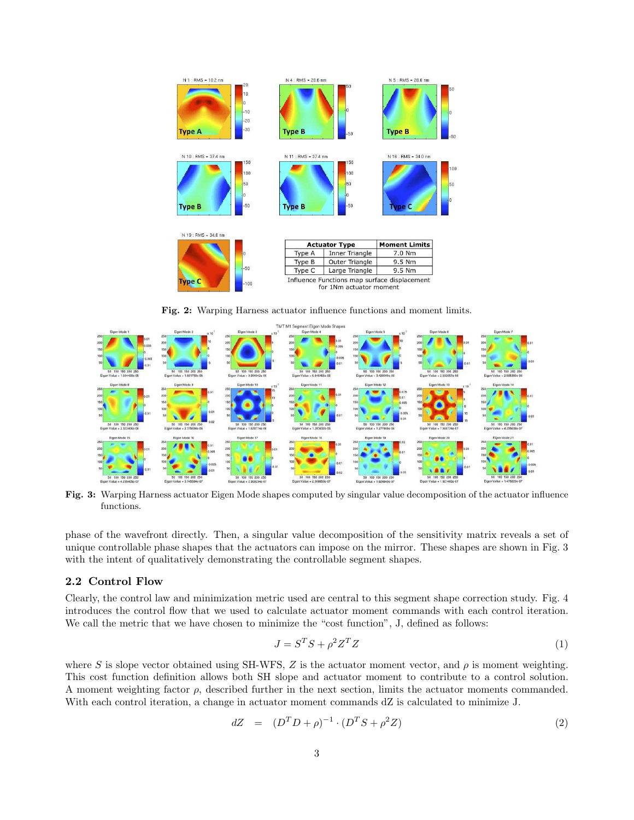

Fig. 2: Warping Harness actuator influence functions and moment limits.



Fig. 3: Warping Harness actuator Eigen Mode shapes computed by singular value decomposition of the actuator influence functions.

phase of the wavefront directly. Then, a singular value decomposition of the sensitivity matrix reveals a set of unique controllable phase shapes that the actuators can impose on the mirror. These shapes are shown in Fig. 3 with the intent of qualitatively demonstrating the controllable segment shapes.

## 2.2 Control Flow

Clearly, the control law and minimization metric used are central to this segment shape correction study. Fig. 4 introduces the control flow that we used to calculate actuator moment commands with each control iteration. We call the metric that we have chosen to minimize the "cost function", J, defined as follows:

$$
J = S^T S + \rho^2 Z^T Z \tag{1}
$$

where S is slope vector obtained using SH-WFS, Z is the actuator moment vector, and  $\rho$  is moment weighting. This cost function definition allows both SH slope and actuator moment to contribute to a control solution. A moment weighting factor  $\rho$ , described further in the next section, limits the actuator moments commanded. With each control iteration, a change in actuator moment commands dZ is calculated to minimize J.

$$
dZ = (D^T D + \rho)^{-1} \cdot (D^T S + \rho^2 Z) \tag{2}
$$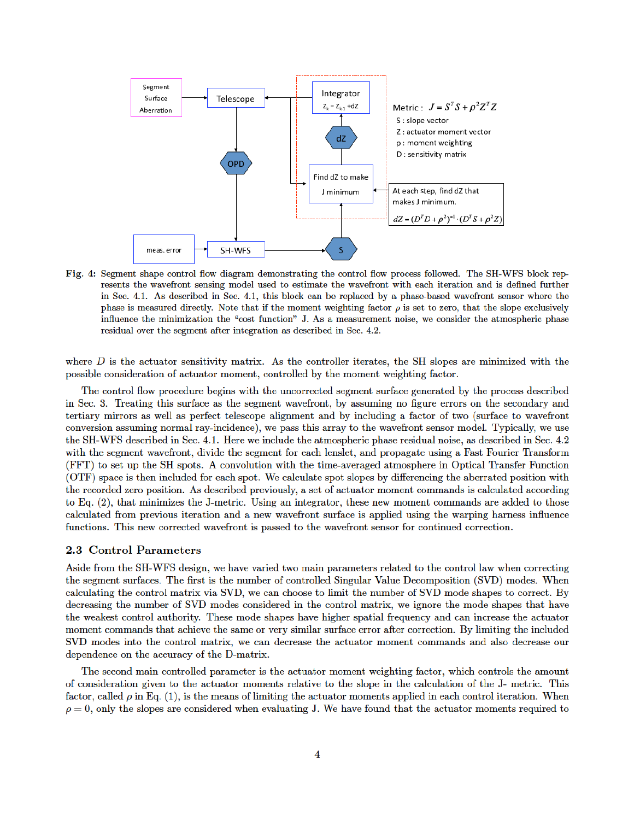

Fig. 4: Segment shape control flow diagram demonstrating the control flow process followed. The SH-WFS block represents the wavefront sensing model used to estimate the wavefront with each iteration and is defined further in Sec. 4.1. As described in Sec. 4.1, this block can be replaced by a phase-based wavefront sensor where the phase is measured directly. Note that if the moment weighting factor  $\rho$  is set to zero, that the slope exclusively influence the minimization the "cost function" J. As a measurement noise, we consider the atmospheric phase residual over the segment after integration as described in Sec. 4.2.

where  $D$  is the actuator sensitivity matrix. As the controller iterates, the SH slopes are minimized with the possible consideration of actuator moment, controlled by the moment weighting factor.

The control flow procedure begins with the uncorrected segment surface generated by the process described in Sec. 3. Treating this surface as the segment wavefront, by assuming no figure errors on the secondary and tertiary mirrors as well as perfect telescope alignment and by including a factor of two (surface to wavefront conversion assuming normal ray-incidence), we pass this array to the wavefront sensor model. Typically, we use the SH-WFS described in Sec. 4.1. Here we include the atmospheric phase residual noise, as described in Sec. 4.2 with the segment wavefront, divide the segment for each lenslet, and propagate using a Fast Fourier Transform (FFT) to set up the SH spots. A convolution with the time-averaged atmosphere in Optical Transfer Function (OTF) space is then included for each spot. We calculate spot slopes by differencing the aberrated position with the recorded zero position. As described previously, a set of actuator moment commands is calculated according to Eq.  $(2)$ , that minimizes the J-metric. Using an integrator, these new moment commands are added to those calculated from previous iteration and a new wavefront surface is applied using the warping harness influence functions. This new corrected wavefront is passed to the wavefront sensor for continued correction.

## 2.3 Control Parameters

Aside from the SH-WFS design, we have varied two main parameters related to the control law when correcting the segment surfaces. The first is the number of controlled Singular Value Decomposition (SVD) modes. When calculating the control matrix via SVD, we can choose to limit the number of SVD mode shapes to correct. By decreasing the number of SVD modes considered in the control matrix, we ignore the mode shapes that have the weakest control authority. These mode shapes have higher spatial frequency and can increase the actuator moment commands that achieve the same or very similar surface error after correction. By limiting the included SVD modes into the control matrix, we can decrease the actuator moment commands and also decrease our dependence on the accuracy of the D-matrix.

The second main controlled parameter is the actuator moment weighting factor, which controls the amount of consideration given to the actuator moments relative to the slope in the calculation of the J- metric. This factor, called  $\rho$  in Eq. (1), is the means of limiting the actuator moments applied in each control iteration. When  $\rho=0$ , only the slopes are considered when evaluating J. We have found that the actuator moments required to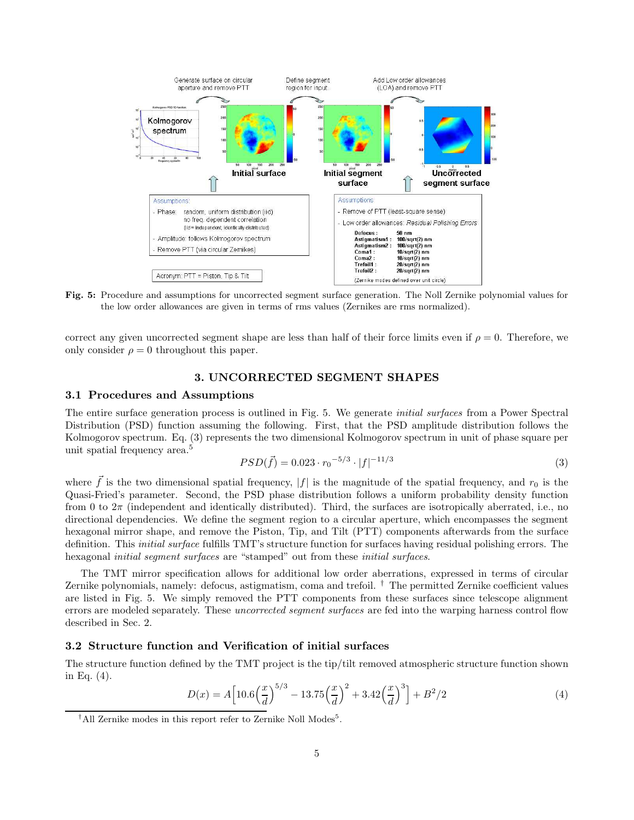

Fig. 5: Procedure and assumptions for uncorrected segment surface generation. The Noll Zernike polynomial values for the low order allowances are given in terms of rms values (Zernikes are rms normalized).

correct any given uncorrected segment shape are less than half of their force limits even if  $\rho = 0$ . Therefore, we only consider  $\rho = 0$  throughout this paper.

# 3. UNCORRECTED SEGMENT SHAPES

## 3.1 Procedures and Assumptions

The entire surface generation process is outlined in Fig. 5. We generate *initial surfaces* from a Power Spectral Distribution (PSD) function assuming the following. First, that the PSD amplitude distribution follows the Kolmogorov spectrum. Eq. (3) represents the two dimensional Kolmogorov spectrum in unit of phase square per unit spatial frequency area.<sup>5</sup>

$$
PSD(\vec{f}) = 0.023 \cdot r_0^{-5/3} \cdot |f|^{-11/3} \tag{3}
$$

where  $\tilde{f}$  is the two dimensional spatial frequency,  $|f|$  is the magnitude of the spatial frequency, and  $r_0$  is the Quasi-Fried's parameter. Second, the PSD phase distribution follows a uniform probability density function from 0 to  $2\pi$  (independent and identically distributed). Third, the surfaces are isotropically aberrated, i.e., no directional dependencies. We define the segment region to a circular aperture, which encompasses the segment hexagonal mirror shape, and remove the Piston, Tip, and Tilt (PTT) components afterwards from the surface definition. This *initial surface* fulfills TMT's structure function for surfaces having residual polishing errors. The hexagonal *initial segment surfaces* are "stamped" out from these *initial surfaces*.

The TMT mirror specification allows for additional low order aberrations, expressed in terms of circular Zernike polynomials, namely: defocus, astigmatism, coma and trefoil. † The permitted Zernike coefficient values are listed in Fig. 5. We simply removed the PTT components from these surfaces since telescope alignment errors are modeled separately. These *uncorrected segment surfaces* are fed into the warping harness control flow described in Sec. 2.

# 3.2 Structure function and Verification of initial surfaces

The structure function defined by the TMT project is the tip/tilt removed atmospheric structure function shown in Eq. (4).

$$
D(x) = A \left[ 10.6 \left( \frac{x}{d} \right)^{5/3} - 13.75 \left( \frac{x}{d} \right)^2 + 3.42 \left( \frac{x}{d} \right)^3 \right] + B^2/2 \tag{4}
$$

<sup>&</sup>lt;sup>†</sup>All Zernike modes in this report refer to Zernike Noll Modes<sup>5</sup>.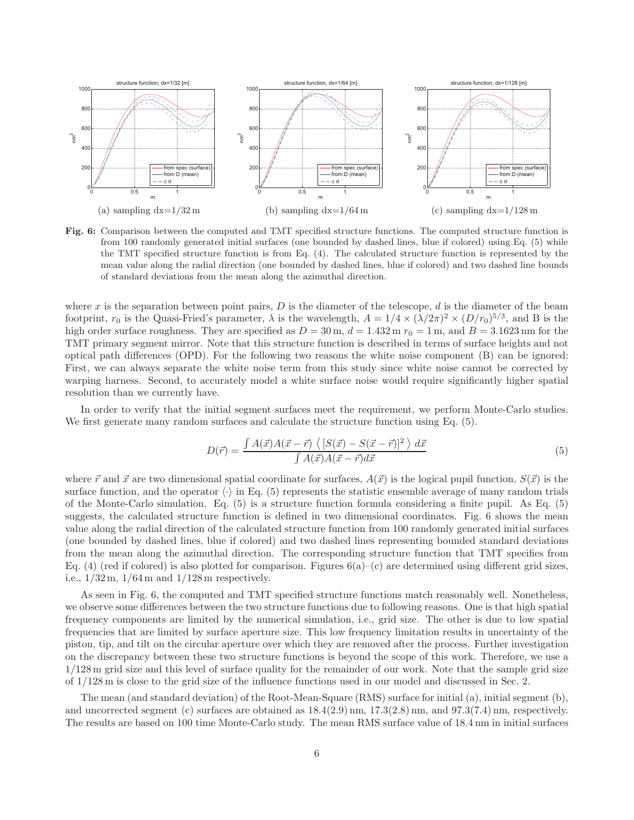

**Fig. 6:** Comparison between the computed and TMT specified structure functions. The computed structure function is from 100 randomly generated initial surfaces (one bounded by dashed lines, blue if colored) using Eq. (5) while the TMT specified structure function is from Eq. (4). The calculated structure function is represented by the mean value along the radial direction (one bounded by dashed lines, blue if colored) and two dashed line bounds of standard deviations from the mean along the azimuthal direction.

where x is the separation between point pairs,  $D$  is the diameter of the telescope,  $d$  is the diameter of the beam footprint,  $r_0$  is the Quasi-Fried's parameter,  $\lambda$  is the wavelength,  $A = 1/4 \times (\lambda/2\pi)^2 \times (D/r_0)^{5/3}$ , and B is the high order surface roughness. They are specified as  $D = 30 \,\text{m}$ ,  $d = 1.432 \,\text{m}$   $r_0 = 1 \,\text{m}$ , and  $B = 3.1623 \,\text{nm}$  for the TMT primary segment mirror. Note that this structure function is described in terms of surface heights and not optical path differences (OPD). For the following two reasons the white noise component (B) can be ignored: First, we can always separate the white noise term from this study since white noise cannot be corrected by warping harness. Second, to accurately model a white surface noise would require significantly higher spatial resolution than we currently have.

In order to verify that the initial segment surfaces meet the requirement, we perform Monte-Carlo studies. We first generate many random surfaces and calculate the structure function using Eq. (5).

$$
D(\vec{r}) = \frac{\int A(\vec{x})A(\vec{x} - \vec{r}) \langle [S(\vec{x}) - S(\vec{x} - \vec{r})]^2 \rangle d\vec{x}}{\int A(\vec{x})A(\vec{x} - \vec{r})d\vec{x}} \tag{5}
$$

where  $\vec{r}$  and  $\vec{x}$  are two dimensional spatial coordinate for surfaces,  $A(\vec{x})$  is the logical pupil function,  $S(\vec{x})$  is the surface function, and the operator  $\langle \cdot \rangle$  in Eq. (5) represents the statistic ensemble average of many random trials of the Monte-Carlo simulation. Eq. (5) is a structure function formula considering a finite pupil. As Eq. (5) suggests, the calculated structure function is defined in two dimensional coordinates. Fig. 6 shows the mean value along the radial direction of the calculated structure function from 100 randomly generated initial surfaces (one bounded by dashed lines, blue if colored) and two dashed lines representing bounded standard deviations from the mean along the azimuthal direction. The corresponding structure function that TMT specifies from Eq. (4) (red if colored) is also plotted for comparison. Figures  $6(a)-(c)$  are determined using different grid sizes, i.e.,  $1/32$  m,  $1/64$  m and  $1/128$  m respectively.

As seen in Fig. 6, the computed and TMT specified structure functions match reasonably well. Nonetheless, we observe some differences between the two structure functions due to following reasons. One is that high spatial frequency components are limited by the numerical simulation, i.e., grid size. The other is due to low spatial frequencies that are limited by surface aperture size. This low frequency limitation results in uncertainty of the piston, tip, and tilt on the circular aperture over which they are removed after the process. Further investigation on the discrepancy between these two structure functions is beyond the scope of this work. Therefore, we use a 1/128 m grid size and this level of surface quality for the remainder of our work. Note that the sample grid size of 1/128 m is close to the grid size of the influence functions used in our model and discussed in Sec. 2.

The mean (and standard deviation) of the Root-Mean-Square (RMS) surface for initial (a), initial segment (b), and uncorrected segment (c) surfaces are obtained as 18.4(2.9) nm, 17.3(2.8) nm, and 97.3(7.4) nm, respectively. The results are based on 100 time Monte-Carlo study. The mean RMS surface value of 18.4 nm in initial surfaces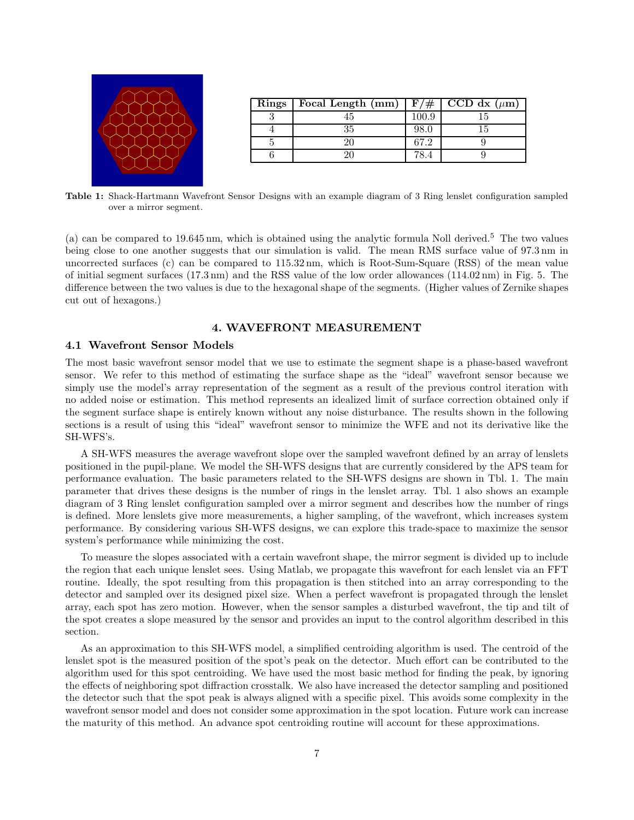

| Rings | Focal Length (mm) | #<br>F    | CCD dx $(\mu m)$ |
|-------|-------------------|-----------|------------------|
|       |                   | $100.9\,$ |                  |
|       | 35                | 98.0      |                  |
|       |                   | 67.2      |                  |
|       |                   |           |                  |

Table 1: Shack-Hartmann Wavefront Sensor Designs with an example diagram of 3 Ring lenslet configuration sampled over a mirror segment.

(a) can be compared to 19.645 nm, which is obtained using the analytic formula Noll derived.<sup>5</sup> The two values being close to one another suggests that our simulation is valid. The mean RMS surface value of 97.3 nm in uncorrected surfaces (c) can be compared to 115.32 nm, which is Root-Sum-Square (RSS) of the mean value of initial segment surfaces (17.3 nm) and the RSS value of the low order allowances (114.02 nm) in Fig. 5. The difference between the two values is due to the hexagonal shape of the segments. (Higher values of Zernike shapes cut out of hexagons.)

## 4. WAVEFRONT MEASUREMENT

#### 4.1 Wavefront Sensor Models

The most basic wavefront sensor model that we use to estimate the segment shape is a phase-based wavefront sensor. We refer to this method of estimating the surface shape as the "ideal" wavefront sensor because we simply use the model's array representation of the segment as a result of the previous control iteration with no added noise or estimation. This method represents an idealized limit of surface correction obtained only if the segment surface shape is entirely known without any noise disturbance. The results shown in the following sections is a result of using this "ideal" wavefront sensor to minimize the WFE and not its derivative like the SH-WFS's.

A SH-WFS measures the average wavefront slope over the sampled wavefront defined by an array of lenslets positioned in the pupil-plane. We model the SH-WFS designs that are currently considered by the APS team for performance evaluation. The basic parameters related to the SH-WFS designs are shown in Tbl. 1. The main parameter that drives these designs is the number of rings in the lenslet array. Tbl. 1 also shows an example diagram of 3 Ring lenslet configuration sampled over a mirror segment and describes how the number of rings is defined. More lenslets give more measurements, a higher sampling, of the wavefront, which increases system performance. By considering various SH-WFS designs, we can explore this trade-space to maximize the sensor system's performance while minimizing the cost.

To measure the slopes associated with a certain wavefront shape, the mirror segment is divided up to include the region that each unique lenslet sees. Using Matlab, we propagate this wavefront for each lenslet via an FFT routine. Ideally, the spot resulting from this propagation is then stitched into an array corresponding to the detector and sampled over its designed pixel size. When a perfect wavefront is propagated through the lenslet array, each spot has zero motion. However, when the sensor samples a disturbed wavefront, the tip and tilt of the spot creates a slope measured by the sensor and provides an input to the control algorithm described in this section.

As an approximation to this SH-WFS model, a simplified centroiding algorithm is used. The centroid of the lenslet spot is the measured position of the spot's peak on the detector. Much effort can be contributed to the algorithm used for this spot centroiding. We have used the most basic method for finding the peak, by ignoring the effects of neighboring spot diffraction crosstalk. We also have increased the detector sampling and positioned the detector such that the spot peak is always aligned with a specific pixel. This avoids some complexity in the wavefront sensor model and does not consider some approximation in the spot location. Future work can increase the maturity of this method. An advance spot centroiding routine will account for these approximations.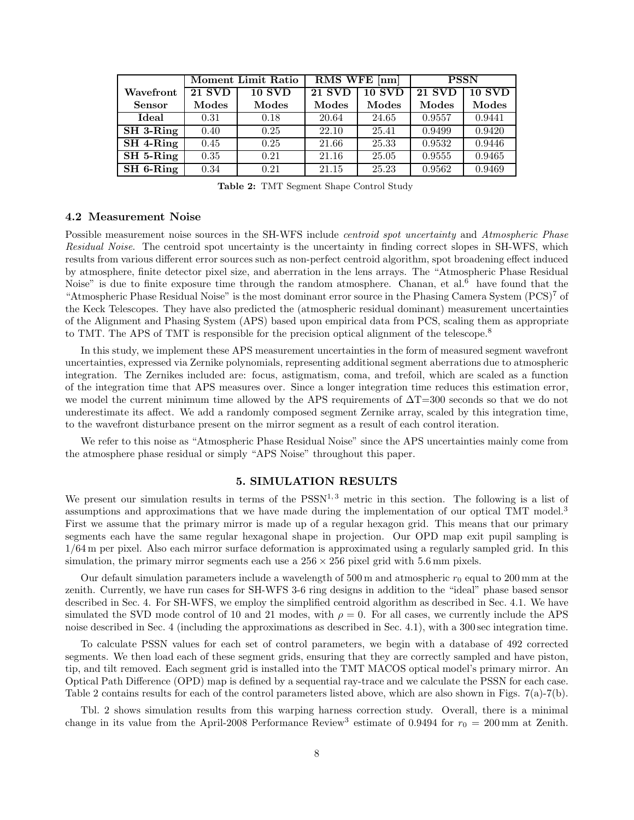|               | <b>Moment Limit Ratio</b> |               | RMS WFE [nm]  |               | <b>PSSN</b>   |        |
|---------------|---------------------------|---------------|---------------|---------------|---------------|--------|
| Wavefront     | <b>21 SVD</b>             | <b>10 SVD</b> | <b>21 SVD</b> | <b>10 SVD</b> | <b>21 SVD</b> | 10 SVD |
| <b>Sensor</b> | Modes                     | Modes         | Modes         | Modes         | Modes         | Modes  |
| Ideal         | 0.31                      | 0.18          | 20.64         | 24.65         | 0.9557        | 0.9441 |
| SH 3-Ring     | 0.40                      | 0.25          | 22.10         | 25.41         | 0.9499        | 0.9420 |
| SH 4-Ring     | 0.45                      | 0.25          | 21.66         | 25.33         | 0.9532        | 0.9446 |
| SH 5-Ring     | 0.35                      | 0.21          | 21.16         | 25.05         | 0.9555        | 0.9465 |
| SH 6-Ring     | 0.34                      | 0.21          | 21.15         | 25.23         | 0.9562        | 0.9469 |

Table 2: TMT Segment Shape Control Study

#### 4.2 Measurement Noise

Possible measurement noise sources in the SH-WFS include *centroid spot uncertainty* and Atmospheric Phase Residual Noise. The centroid spot uncertainty is the uncertainty in finding correct slopes in SH-WFS, which results from various different error sources such as non-perfect centroid algorithm, spot broadening effect induced by atmosphere, finite detector pixel size, and aberration in the lens arrays. The "Atmospheric Phase Residual Noise" is due to finite exposure time through the random atmosphere. Chanan, et al.<sup>6</sup> have found that the "Atmospheric Phase Residual Noise" is the most dominant error source in the Phasing Camera System (PCS)<sup>7</sup> of the Keck Telescopes. They have also predicted the (atmospheric residual dominant) measurement uncertainties of the Alignment and Phasing System (APS) based upon empirical data from PCS, scaling them as appropriate to TMT. The APS of TMT is responsible for the precision optical alignment of the telescope.<sup>8</sup>

In this study, we implement these APS measurement uncertainties in the form of measured segment wavefront uncertainties, expressed via Zernike polynomials, representing additional segment aberrations due to atmospheric integration. The Zernikes included are: focus, astigmatism, coma, and trefoil, which are scaled as a function of the integration time that APS measures over. Since a longer integration time reduces this estimation error, we model the current minimum time allowed by the APS requirements of ∆T=300 seconds so that we do not underestimate its affect. We add a randomly composed segment Zernike array, scaled by this integration time, to the wavefront disturbance present on the mirror segment as a result of each control iteration.

We refer to this noise as "Atmospheric Phase Residual Noise" since the APS uncertainties mainly come from the atmosphere phase residual or simply "APS Noise" throughout this paper.

# 5. SIMULATION RESULTS

We present our simulation results in terms of the  $PSSN<sup>1,3</sup>$  metric in this section. The following is a list of assumptions and approximations that we have made during the implementation of our optical TMT model.<sup>3</sup> First we assume that the primary mirror is made up of a regular hexagon grid. This means that our primary segments each have the same regular hexagonal shape in projection. Our OPD map exit pupil sampling is 1/64 m per pixel. Also each mirror surface deformation is approximated using a regularly sampled grid. In this simulation, the primary mirror segments each use a  $256 \times 256$  pixel grid with 5.6 mm pixels.

Our default simulation parameters include a wavelength of 500 m and atmospheric  $r_0$  equal to 200 mm at the zenith. Currently, we have run cases for SH-WFS 3-6 ring designs in addition to the "ideal" phase based sensor described in Sec. 4. For SH-WFS, we employ the simplified centroid algorithm as described in Sec. 4.1. We have simulated the SVD mode control of 10 and 21 modes, with  $\rho = 0$ . For all cases, we currently include the APS noise described in Sec. 4 (including the approximations as described in Sec. 4.1), with a 300 sec integration time.

To calculate PSSN values for each set of control parameters, we begin with a database of 492 corrected segments. We then load each of these segment grids, ensuring that they are correctly sampled and have piston, tip, and tilt removed. Each segment grid is installed into the TMT MACOS optical model's primary mirror. An Optical Path Difference (OPD) map is defined by a sequential ray-trace and we calculate the PSSN for each case. Table 2 contains results for each of the control parameters listed above, which are also shown in Figs. 7(a)-7(b).

Tbl. 2 shows simulation results from this warping harness correction study. Overall, there is a minimal change in its value from the April-2008 Performance Review<sup>3</sup> estimate of 0.9494 for  $r_0 = 200$  mm at Zenith.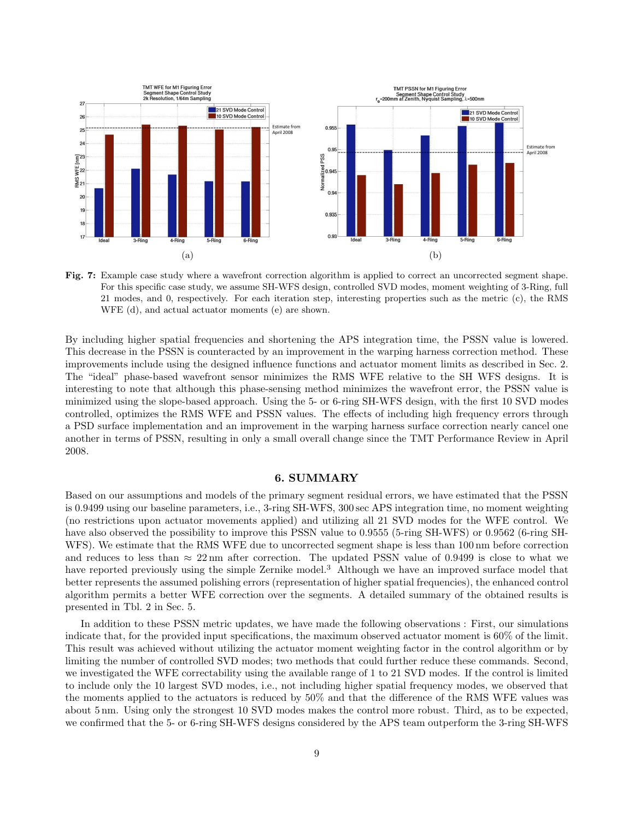

Fig. 7: Example case study where a wavefront correction algorithm is applied to correct an uncorrected segment shape. For this specific case study, we assume SH-WFS design, controlled SVD modes, moment weighting of 3-Ring, full 21 modes, and 0, respectively. For each iteration step, interesting properties such as the metric (c), the RMS WFE (d), and actual actuator moments (e) are shown.

By including higher spatial frequencies and shortening the APS integration time, the PSSN value is lowered. This decrease in the PSSN is counteracted by an improvement in the warping harness correction method. These improvements include using the designed influence functions and actuator moment limits as described in Sec. 2. The "ideal" phase-based wavefront sensor minimizes the RMS WFE relative to the SH WFS designs. It is interesting to note that although this phase-sensing method minimizes the wavefront error, the PSSN value is minimized using the slope-based approach. Using the 5- or 6-ring SH-WFS design, with the first 10 SVD modes controlled, optimizes the RMS WFE and PSSN values. The effects of including high frequency errors through a PSD surface implementation and an improvement in the warping harness surface correction nearly cancel one another in terms of PSSN, resulting in only a small overall change since the TMT Performance Review in April 2008.

## 6. SUMMARY

Based on our assumptions and models of the primary segment residual errors, we have estimated that the PSSN is 0.9499 using our baseline parameters, i.e., 3-ring SH-WFS, 300 sec APS integration time, no moment weighting (no restrictions upon actuator movements applied) and utilizing all 21 SVD modes for the WFE control. We have also observed the possibility to improve this PSSN value to 0.9555 (5-ring SH-WFS) or 0.9562 (6-ring SH-WFS). We estimate that the RMS WFE due to uncorrected segment shape is less than 100 nm before correction and reduces to less than  $\approx 22 \,\text{nm}$  after correction. The updated PSSN value of 0.9499 is close to what we have reported previously using the simple Zernike model.<sup>3</sup> Although we have an improved surface model that better represents the assumed polishing errors (representation of higher spatial frequencies), the enhanced control algorithm permits a better WFE correction over the segments. A detailed summary of the obtained results is presented in Tbl. 2 in Sec. 5.

In addition to these PSSN metric updates, we have made the following observations : First, our simulations indicate that, for the provided input specifications, the maximum observed actuator moment is 60% of the limit. This result was achieved without utilizing the actuator moment weighting factor in the control algorithm or by limiting the number of controlled SVD modes; two methods that could further reduce these commands. Second, we investigated the WFE correctability using the available range of 1 to 21 SVD modes. If the control is limited to include only the 10 largest SVD modes, i.e., not including higher spatial frequency modes, we observed that the moments applied to the actuators is reduced by 50% and that the difference of the RMS WFE values was about 5 nm. Using only the strongest 10 SVD modes makes the control more robust. Third, as to be expected, we confirmed that the 5- or 6-ring SH-WFS designs considered by the APS team outperform the 3-ring SH-WFS